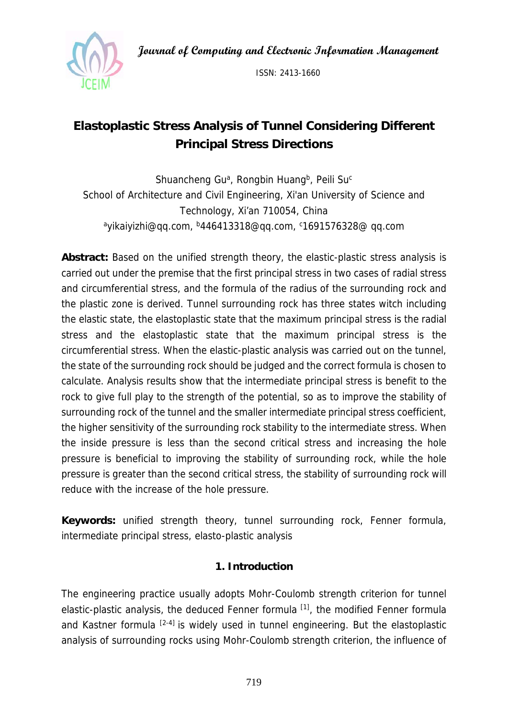**Journal of Computing and Electronic Information Management** 



ISSN: 2413-1660

# **Elastoplastic Stress Analysis of Tunnel Considering Different Principal Stress Directions**

Shuancheng Gu<sup>a</sup>, Rongbin Huang<sup>b</sup>, Peili Su<sup>c</sup> School of Architecture and Civil Engineering, Xi'an University of Science and Technology, Xi'an 710054, China <sup>a</sup>yikaiyizhi@qq.com, <sup>b</sup>446413318@qq.com, c1691576328@ qq.com

**Abstract:** Based on the unified strength theory, the elastic-plastic stress analysis is carried out under the premise that the first principal stress in two cases of radial stress and circumferential stress, and the formula of the radius of the surrounding rock and the plastic zone is derived. Tunnel surrounding rock has three states witch including the elastic state, the elastoplastic state that the maximum principal stress is the radial stress and the elastoplastic state that the maximum principal stress is the circumferential stress. When the elastic-plastic analysis was carried out on the tunnel, the state of the surrounding rock should be judged and the correct formula is chosen to calculate. Analysis results show that the intermediate principal stress is benefit to the rock to give full play to the strength of the potential, so as to improve the stability of surrounding rock of the tunnel and the smaller intermediate principal stress coefficient, the higher sensitivity of the surrounding rock stability to the intermediate stress. When the inside pressure is less than the second critical stress and increasing the hole pressure is beneficial to improving the stability of surrounding rock, while the hole pressure is greater than the second critical stress, the stability of surrounding rock will reduce with the increase of the hole pressure.

**Keywords:** unified strength theory, tunnel surrounding rock, Fenner formula, intermediate principal stress, elasto-plastic analysis

## **1. Introduction**

The engineering practice usually adopts Mohr-Coulomb strength criterion for tunnel elastic-plastic analysis, the deduced Fenner formula [1], the modified Fenner formula and Kastner formula  $[2-4]$  is widely used in tunnel engineering. But the elastoplastic analysis of surrounding rocks using Mohr-Coulomb strength criterion, the influence of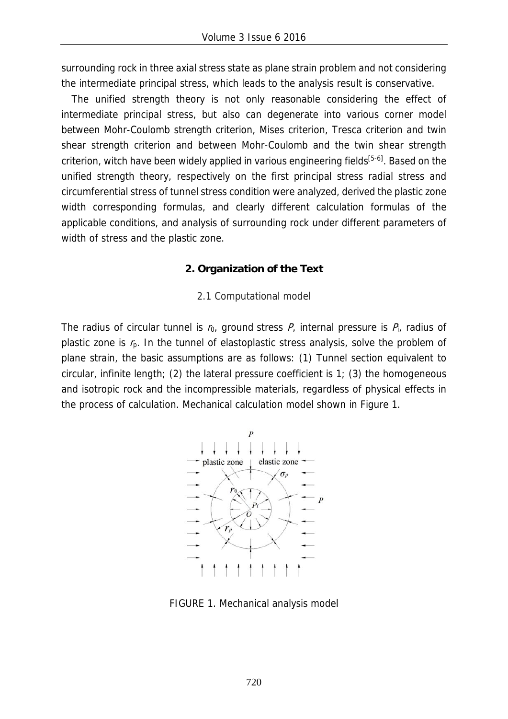surrounding rock in three axial stress state as plane strain problem and not considering the intermediate principal stress, which leads to the analysis result is conservative.

The unified strength theory is not only reasonable considering the effect of intermediate principal stress, but also can degenerate into various corner model between Mohr-Coulomb strength criterion, Mises criterion, Tresca criterion and twin shear strength criterion and between Mohr-Coulomb and the twin shear strength criterion, witch have been widely applied in various engineering fields<sup>[5-6]</sup>. Based on the unified strength theory, respectively on the first principal stress radial stress and circumferential stress of tunnel stress condition were analyzed, derived the plastic zone width corresponding formulas, and clearly different calculation formulas of the applicable conditions, and analysis of surrounding rock under different parameters of width of stress and the plastic zone.

### **2. Organization of the Text**

### 2.1 Computational model

The radius of circular tunnel is  $r_0$ , ground stress  $P_i$ , internal pressure is  $P_i$ , radius of plastic zone is  $r<sub>p</sub>$ . In the tunnel of elastoplastic stress analysis, solve the problem of plane strain, the basic assumptions are as follows: (1) Tunnel section equivalent to circular, infinite length; (2) the lateral pressure coefficient is 1; (3) the homogeneous and isotropic rock and the incompressible materials, regardless of physical effects in the process of calculation. Mechanical calculation model shown in Figure 1.



FIGURE 1. Mechanical analysis model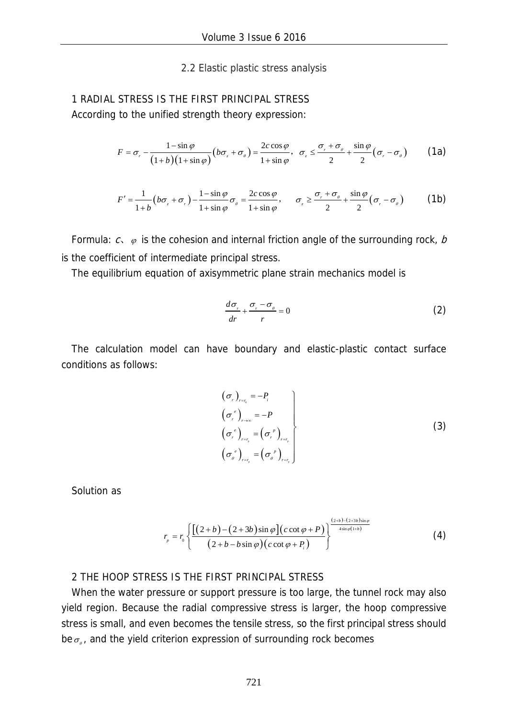#### 2.2 Elastic plastic stress analysis

1 RADIAL STRESS IS THE FIRST PRINCIPAL STRESS According to the unified strength theory expression:

$$
F = \sigma_r - \frac{1 - \sin \varphi}{\left(1 + b\right)\left(1 + \sin \varphi\right)} \left(b\sigma_z + \sigma_\theta\right) = \frac{2c\cos\varphi}{1 + \sin\varphi}, \quad \sigma_z \le \frac{\sigma_r + \sigma_\theta}{2} + \frac{\sin\varphi}{2} \left(\sigma_r - \sigma_\theta\right) \tag{1a}
$$

$$
F' = \frac{1}{1+b} \left( b\sigma_z + \sigma_r \right) - \frac{1-\sin\varphi}{1+\sin\varphi} \sigma_\varphi = \frac{2c\cos\varphi}{1+\sin\varphi}, \qquad \sigma_z \ge \frac{\sigma_r + \sigma_\varphi}{2} + \frac{\sin\varphi}{2} \left( \sigma_r - \sigma_\varphi \right) \tag{1b}
$$

Formula:  $c, \varphi$  is the cohesion and internal friction angle of the surrounding rock, b is the coefficient of intermediate principal stress.

The equilibrium equation of axisymmetric plane strain mechanics model is

$$
\frac{d\sigma_r}{dr} + \frac{\sigma_r - \sigma_\theta}{r} = 0\tag{2}
$$

The calculation model can have boundary and elastic-plastic contact surface conditions as follows:

$$
\begin{aligned}\n(\sigma_r)_{_{r=\tau_o}} &= -P_i \\
(\sigma_r^e)_{_{r\to\infty}} &= -P \\
(\sigma_r^e)_{_{r=r_p}} &= (\sigma_r^e)_{_{r=r_p}} \\
(\sigma_o^e)_{_{r=r_p}} &= (\sigma_o^e)_{_{r=r_p}}\n\end{aligned}
$$
\n(3)

Solution as

$$
r_{p} = r_{0} \left\{ \frac{\left[ (2+b) - (2+3b) \sin \varphi \right] (c \cot \varphi + P)}{(2+b-b \sin \varphi)(c \cot \varphi + P_{i})} \right\}^{\frac{(2+b) - (2+3b) \sin \varphi}{4 \sin \varphi (1+b)}} \tag{4}
$$

### 2 THE HOOP STRESS IS THE FIRST PRINCIPAL STRESS

When the water pressure or support pressure is too large, the tunnel rock may also yield region. Because the radial compressive stress is larger, the hoop compressive stress is small, and even becomes the tensile stress, so the first principal stress should be  $\sigma_{\alpha}$ , and the yield criterion expression of surrounding rock becomes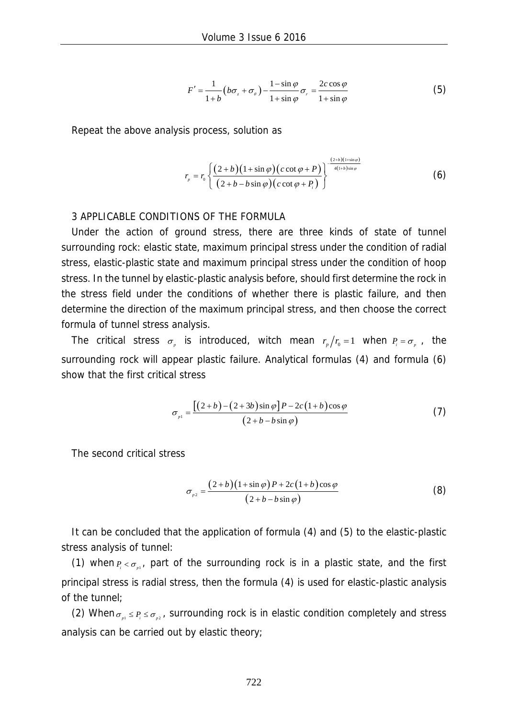$$
F' = \frac{1}{1+b} \left( b\sigma_z + \sigma_\theta \right) - \frac{1-\sin\varphi}{1+\sin\varphi} \sigma_r = \frac{2c\cos\varphi}{1+\sin\varphi}
$$
 (5)

Repeat the above analysis process, solution as

$$
r_{p} = r_{0} \left\{ \frac{(2+b)(1+\sin \varphi)(c \cot \varphi + P)}{(2+b-b \sin \varphi)(c \cot \varphi + P_{i})} \right\}^{\frac{(2+b)(1+\sin \varphi)}{4(1+b)\sin \varphi}}
$$
(6)

#### 3 APPLICABLE CONDITIONS OF THE FORMULA

Under the action of ground stress, there are three kinds of state of tunnel surrounding rock: elastic state, maximum principal stress under the condition of radial stress, elastic-plastic state and maximum principal stress under the condition of hoop stress. In the tunnel by elastic-plastic analysis before, should first determine the rock in the stress field under the conditions of whether there is plastic failure, and then determine the direction of the maximum principal stress, and then choose the correct formula of tunnel stress analysis.

The critical stress  $\sigma_{n}$  is introduced, witch mean  $r_{n}/r_{0} = 1$  when  $P_{i} = \sigma_{n}$ , the surrounding rock will appear plastic failure. Analytical formulas (4) and formula (6) show that the first critical stress

$$
\sigma_{p1} = \frac{\left[ (2+b)-(2+3b)\sin\varphi \right]P - 2c(1+b)\cos\varphi}{(2+b-b\sin\varphi)}
$$
\n(7)

The second critical stress

$$
\sigma_{p2} = \frac{(2+b)(1+\sin\varphi)P + 2c(1+b)\cos\varphi}{(2+b-b\sin\varphi)}
$$
(8)

It can be concluded that the application of formula (4) and (5) to the elastic-plastic stress analysis of tunnel:

(1) when  $P_i < \sigma_{i,j}$ , part of the surrounding rock is in a plastic state, and the first principal stress is radial stress, then the formula (4) is used for elastic-plastic analysis of the tunnel;

(2) When  $\sigma_{p1} \le P_i \le \sigma_{p2}$ , surrounding rock is in elastic condition completely and stress analysis can be carried out by elastic theory;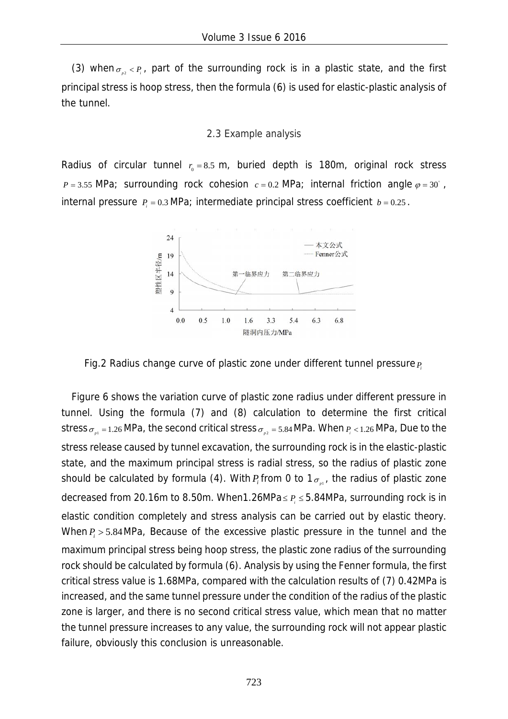(3) when  $\sigma_{n}$   $\leq$  *P<sub>i</sub>*, part of the surrounding rock is in a plastic state, and the first principal stress is hoop stress, then the formula (6) is used for elastic-plastic analysis of the tunnel.

#### 2.3 Example analysis

Radius of circular tunnel  $r_0 = 8.5$  m, buried depth is 180m, original rock stress  $P = 3.55$  MPa; surrounding rock cohesion  $c = 0.2$  MPa; internal friction angle  $\varphi = 30^\circ$ , internal pressure  $P_1 = 0.3$  *MPa*; intermediate principal stress coefficient  $b = 0.25$ .



Fig.2 Radius change curve of plastic zone under different tunnel pressure *Pi*

Figure 6 shows the variation curve of plastic zone radius under different pressure in tunnel. Using the formula (7) and (8) calculation to determine the first critical stress  $\sigma_{nl} = 1.26$  MPa, the second critical stress  $\sigma_{nl} = 5.84$  MPa. When  $P_l < 1.26$  MPa, Due to the stress release caused by tunnel excavation, the surrounding rock is in the elastic-plastic state, and the maximum principal stress is radial stress, so the radius of plastic zone should be calculated by formula (4). With  $P_i$  from 0 to 1 $\sigma_{n,i}$ , the radius of plastic zone decreased from 20.16m to 8.50m. When1.26MPa $\leq P_i \leq 5.84$ MPa, surrounding rock is in elastic condition completely and stress analysis can be carried out by elastic theory. When  $P_i > 5.84$  MPa, Because of the excessive plastic pressure in the tunnel and the maximum principal stress being hoop stress, the plastic zone radius of the surrounding rock should be calculated by formula (6). Analysis by using the Fenner formula, the first critical stress value is 1.68MPa, compared with the calculation results of (7) 0.42MPa is increased, and the same tunnel pressure under the condition of the radius of the plastic zone is larger, and there is no second critical stress value, which mean that no matter the tunnel pressure increases to any value, the surrounding rock will not appear plastic failure, obviously this conclusion is unreasonable.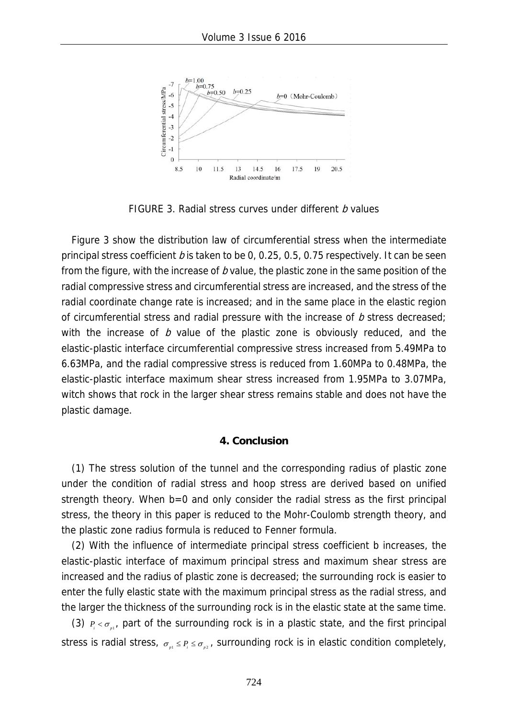

FIGURE 3. Radial stress curves under different *b* values

Figure 3 show the distribution law of circumferential stress when the intermediate principal stress coefficient b is taken to be 0, 0.25, 0.5, 0.75 respectively. It can be seen from the figure, with the increase of  $b$  value, the plastic zone in the same position of the radial compressive stress and circumferential stress are increased, and the stress of the radial coordinate change rate is increased; and in the same place in the elastic region of circumferential stress and radial pressure with the increase of  $b$  stress decreased; with the increase of  $b$  value of the plastic zone is obviously reduced, and the elastic-plastic interface circumferential compressive stress increased from 5.49MPa to 6.63MPa, and the radial compressive stress is reduced from 1.60MPa to 0.48MPa, the elastic-plastic interface maximum shear stress increased from 1.95MPa to 3.07MPa, witch shows that rock in the larger shear stress remains stable and does not have the plastic damage.

#### **4. Conclusion**

(1) The stress solution of the tunnel and the corresponding radius of plastic zone under the condition of radial stress and hoop stress are derived based on unified strength theory. When b=0 and only consider the radial stress as the first principal stress, the theory in this paper is reduced to the Mohr-Coulomb strength theory, and the plastic zone radius formula is reduced to Fenner formula.

(2) With the influence of intermediate principal stress coefficient b increases, the elastic-plastic interface of maximum principal stress and maximum shear stress are increased and the radius of plastic zone is decreased; the surrounding rock is easier to enter the fully elastic state with the maximum principal stress as the radial stress, and the larger the thickness of the surrounding rock is in the elastic state at the same time.

(3)  $P_1 < \sigma_{\text{max}}$  part of the surrounding rock is in a plastic state, and the first principal stress is radial stress,  $\sigma_{n} \leq P_{n} \leq \sigma_{n}$ , surrounding rock is in elastic condition completely,